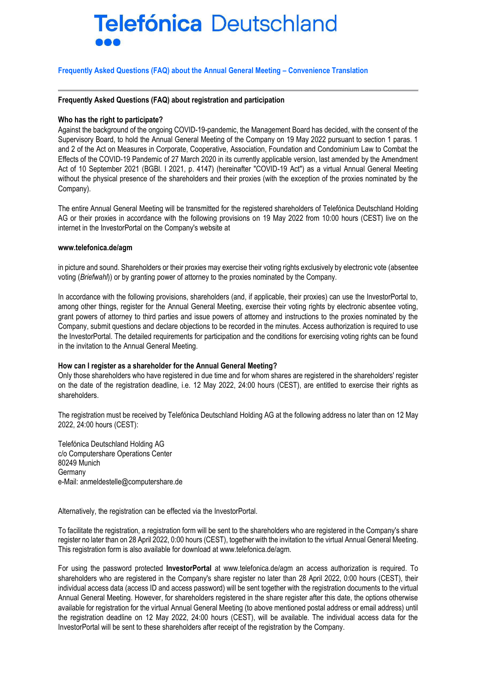# **Telefónica Deutschland**

## **Frequently Asked Questions (FAQ) about the Annual General Meeting – Convenience Translation**

#### **Frequently Asked Questions (FAQ) about registration and participation**

## **Who has the right to participate?**

Against the background of the ongoing COVID-19-pandemic, the Management Board has decided, with the consent of the Supervisory Board, to hold the Annual General Meeting of the Company on 19 May 2022 pursuant to section 1 paras. 1 and 2 of the Act on Measures in Corporate, Cooperative, Association, Foundation and Condominium Law to Combat the Effects of the COVID-19 Pandemic of 27 March 2020 in its currently applicable version, last amended by the Amendment Act of 10 September 2021 (BGBl. I 2021, p. 4147) (hereinafter "COVID-19 Act") as a virtual Annual General Meeting without the physical presence of the shareholders and their proxies (with the exception of the proxies nominated by the Company).

The entire Annual General Meeting will be transmitted for the registered shareholders of Telefónica Deutschland Holding AG or their proxies in accordance with the following provisions on 19 May 2022 from 10:00 hours (CEST) live on the internet in the InvestorPortal on the Company's website at

#### **www.telefonica.de/agm**

in picture and sound. Shareholders or their proxies may exercise their voting rights exclusively by electronic vote (absentee voting (*Briefwahl*)) or by granting power of attorney to the proxies nominated by the Company.

In accordance with the following provisions, shareholders (and, if applicable, their proxies) can use the InvestorPortal to, among other things, register for the Annual General Meeting, exercise their voting rights by electronic absentee voting, grant powers of attorney to third parties and issue powers of attorney and instructions to the proxies nominated by the Company, submit questions and declare objections to be recorded in the minutes. Access authorization is required to use the InvestorPortal. The detailed requirements for participation and the conditions for exercising voting rights can be found in the invitation to the Annual General Meeting.

# **How can I register as a shareholder for the Annual General Meeting?**

Only those shareholders who have registered in due time and for whom shares are registered in the shareholders' register on the date of the registration deadline, i.e. 12 May 2022, 24:00 hours (CEST), are entitled to exercise their rights as shareholders.

The registration must be received by Telefónica Deutschland Holding AG at the following address no later than on 12 May 2022, 24:00 hours (CEST):

Telefónica Deutschland Holding AG c/o Computershare Operations Center 80249 Munich Germany e-Mail: anmeldestelle@computershare.de

Alternatively, the registration can be effected via the InvestorPortal.

To facilitate the registration, a registration form will be sent to the shareholders who are registered in the Company's share register no later than on 28 April 2022, 0:00 hours (CEST), together with the invitation to the virtual Annual General Meeting. This registration form is also available for download at www.telefonica.de/agm.

For using the password protected **InvestorPortal** at www.telefonica.de/agm an access authorization is required. To shareholders who are registered in the Company's share register no later than 28 April 2022, 0:00 hours (CEST), their individual access data (access ID and access password) will be sent together with the registration documents to the virtual Annual General Meeting. However, for shareholders registered in the share register after this date, the options otherwise available for registration for the virtual Annual General Meeting (to above mentioned postal address or email address) until the registration deadline on 12 May 2022, 24:00 hours (CEST), will be available. The individual access data for the InvestorPortal will be sent to these shareholders after receipt of the registration by the Company.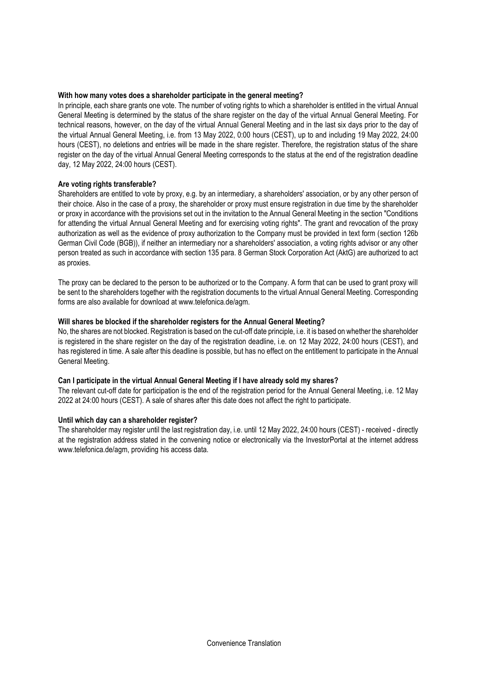# **With how many votes does a shareholder participate in the general meeting?**

In principle, each share grants one vote. The number of voting rights to which a shareholder is entitled in the virtual Annual General Meeting is determined by the status of the share register on the day of the virtual Annual General Meeting. For technical reasons, however, on the day of the virtual Annual General Meeting and in the last six days prior to the day of the virtual Annual General Meeting, i.e. from 13 May 2022, 0:00 hours (CEST), up to and including 19 May 2022, 24:00 hours (CEST), no deletions and entries will be made in the share register. Therefore, the registration status of the share register on the day of the virtual Annual General Meeting corresponds to the status at the end of the registration deadline day, 12 May 2022, 24:00 hours (CEST).

## **Are voting rights transferable?**

Shareholders are entitled to vote by proxy, e.g. by an intermediary, a shareholders' association, or by any other person of their choice. Also in the case of a proxy, the shareholder or proxy must ensure registration in due time by the shareholder or proxy in accordance with the provisions set out in the invitation to the Annual General Meeting in the section "Conditions for attending the virtual Annual General Meeting and for exercising voting rights". The grant and revocation of the proxy authorization as well as the evidence of proxy authorization to the Company must be provided in text form (section 126b German Civil Code (BGB)), if neither an intermediary nor a shareholders' association, a voting rights advisor or any other person treated as such in accordance with section 135 para. 8 German Stock Corporation Act (AktG) are authorized to act as proxies.

The proxy can be declared to the person to be authorized or to the Company. A form that can be used to grant proxy will be sent to the shareholders together with the registration documents to the virtual Annual General Meeting. Corresponding forms are also available for download at www.telefonica.de/agm.

## **Will shares be blocked if the shareholder registers for the Annual General Meeting?**

No, the shares are not blocked. Registration is based on the cut-off date principle, i.e. it is based on whether the shareholder is registered in the share register on the day of the registration deadline, i.e. on 12 May 2022, 24:00 hours (CEST), and has registered in time. A sale after this deadline is possible, but has no effect on the entitlement to participate in the Annual General Meeting.

## **Can I participate in the virtual Annual General Meeting if I have already sold my shares?**

The relevant cut-off date for participation is the end of the registration period for the Annual General Meeting, i.e. 12 May 2022 at 24:00 hours (CEST). A sale of shares after this date does not affect the right to participate.

## **Until which day can a shareholder register?**

The shareholder may register until the last registration day, i.e. until 12 May 2022, 24:00 hours (CEST) - received - directly at the registration address stated in the convening notice or electronically via the InvestorPortal at the internet address www.telefonica.de/agm, providing his access data.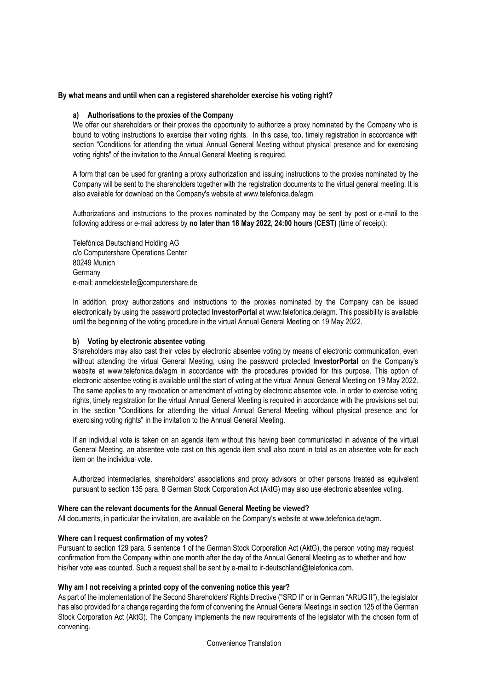# **By what means and until when can a registered shareholder exercise his voting right?**

## **a) Authorisations to the proxies of the Company**

We offer our shareholders or their proxies the opportunity to authorize a proxy nominated by the Company who is bound to voting instructions to exercise their voting rights. In this case, too, timely registration in accordance with section "Conditions for attending the virtual Annual General Meeting without physical presence and for exercising voting rights" of the invitation to the Annual General Meeting is required.

A form that can be used for granting a proxy authorization and issuing instructions to the proxies nominated by the Company will be sent to the shareholders together with the registration documents to the virtual general meeting. It is also available for download on the Company's website at www.telefonica.de/agm.

Authorizations and instructions to the proxies nominated by the Company may be sent by post or e-mail to the following address or e-mail address by **no later than 18 May 2022, 24:00 hours (CEST)** (time of receipt):

Telefónica Deutschland Holding AG c/o Computershare Operations Center 80249 Munich **Germany** e-mail: [anmeldestelle@computershare.de](mailto:telefonica@better-orange.de) 

In addition, proxy authorizations and instructions to the proxies nominated by the Company can be issued electronically by using the password protected **InvestorPortal** at www.telefonica.de/agm. This possibility is available until the beginning of the voting procedure in the virtual Annual General Meeting on 19 May 2022.

#### **b) Voting by electronic absentee voting**

Shareholders may also cast their votes by electronic absentee voting by means of electronic communication, even without attending the virtual General Meeting, using the password protected **InvestorPortal** on the Company's website at www.telefonica.de/agm in accordance with the procedures provided for this purpose. This option of electronic absentee voting is available until the start of voting at the virtual Annual General Meeting on 19 May 2022. The same applies to any revocation or amendment of voting by electronic absentee vote. In order to exercise voting rights, timely registration for the virtual Annual General Meeting is required in accordance with the provisions set out in the section "Conditions for attending the virtual Annual General Meeting without physical presence and for exercising voting rights" in the invitation to the Annual General Meeting.

If an individual vote is taken on an agenda item without this having been communicated in advance of the virtual General Meeting, an absentee vote cast on this agenda item shall also count in total as an absentee vote for each item on the individual vote.

Authorized intermediaries, shareholders' associations and proxy advisors or other persons treated as equivalent pursuant to section 135 para. 8 German Stock Corporation Act (AktG) may also use electronic absentee voting.

#### **Where can the relevant documents for the Annual General Meeting be viewed?**

All documents, in particular the invitation, are available on the Company's website at www.telefonica.de/agm.

# **Where can I request confirmation of my votes?**

Pursuant to section 129 para. 5 sentence 1 of the German Stock Corporation Act (AktG), the person voting may request confirmation from the Company within one month after the day of the Annual General Meeting as to whether and how his/her vote was counted. Such a request shall be sent by e-mail to ir-deutschland@telefonica.com.

#### **Why am I not receiving a printed copy of the convening notice this year?**

As part of the implementation of the Second Shareholders' Rights Directive ("SRD II" or in German "ARUG II"), the legislator has also provided for a change regarding the form of convening the Annual General Meetings in section 125 of the German Stock Corporation Act (AktG). The Company implements the new requirements of the legislator with the chosen form of convening.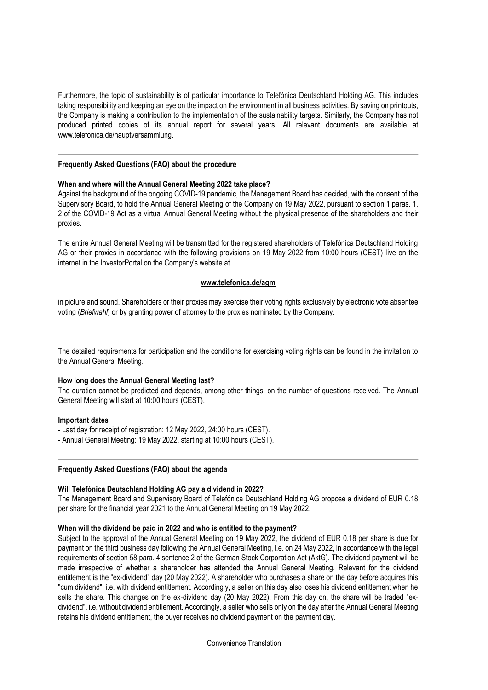Furthermore, the topic of sustainability is of particular importance to Telefónica Deutschland Holding AG. This includes taking responsibility and keeping an eye on the impact on the environment in all business activities. By saving on printouts, the Company is making a contribution to the implementation of the sustainability targets. Similarly, the Company has not produced printed copies of its annual report for several years. All relevant documents are available at www.telefonica.de/hauptversammlung.

## **Frequently Asked Questions (FAQ) about the procedure**

## **When and where will the Annual General Meeting 2022 take place?**

Against the background of the ongoing COVID-19 pandemic, the Management Board has decided, with the consent of the Supervisory Board, to hold the Annual General Meeting of the Company on 19 May 2022, pursuant to section 1 paras. 1, 2 of the COVID-19 Act as a virtual Annual General Meeting without the physical presence of the shareholders and their proxies.

The entire Annual General Meeting will be transmitted for the registered shareholders of Telefónica Deutschland Holding AG or their proxies in accordance with the following provisions on 19 May 2022 from 10:00 hours (CEST) live on the internet in the InvestorPortal on the Company's website at

## **[www.telefonica.de/agm](http://www.telefonica.de/agm)**

in picture and sound. Shareholders or their proxies may exercise their voting rights exclusively by electronic vote absentee voting (*Briefwahl*) or by granting power of attorney to the proxies nominated by the Company.

The detailed requirements for participation and the conditions for exercising voting rights can be found in the invitation to the Annual General Meeting.

# **How long does the Annual General Meeting last?**

The duration cannot be predicted and depends, among other things, on the number of questions received. The Annual General Meeting will start at 10:00 hours (CEST).

#### **Important dates**

- Last day for receipt of registration: 12 May 2022, 24:00 hours (CEST).
- Annual General Meeting: 19 May 2022, starting at 10:00 hours (CEST).

#### **Frequently Asked Questions (FAQ) about the agenda**

#### **Will Telefónica Deutschland Holding AG pay a dividend in 2022?**

The Management Board and Supervisory Board of Telefónica Deutschland Holding AG propose a dividend of EUR 0.18 per share for the financial year 2021 to the Annual General Meeting on 19 May 2022.

## **When will the dividend be paid in 2022 and who is entitled to the payment?**

Subject to the approval of the Annual General Meeting on 19 May 2022, the dividend of EUR 0.18 per share is due for payment on the third business day following the Annual General Meeting, i.e. on 24 May 2022, in accordance with the legal requirements of section 58 para. 4 sentence 2 of the German Stock Corporation Act (AktG). The dividend payment will be made irrespective of whether a shareholder has attended the Annual General Meeting. Relevant for the dividend entitlement is the "ex-dividend" day (20 May 2022). A shareholder who purchases a share on the day before acquires this "cum dividend", i.e. with dividend entitlement. Accordingly, a seller on this day also loses his dividend entitlement when he sells the share. This changes on the ex-dividend day (20 May 2022). From this day on, the share will be traded "exdividend", i.e. without dividend entitlement. Accordingly, a seller who sells only on the day after the Annual General Meeting retains his dividend entitlement, the buyer receives no dividend payment on the payment day.